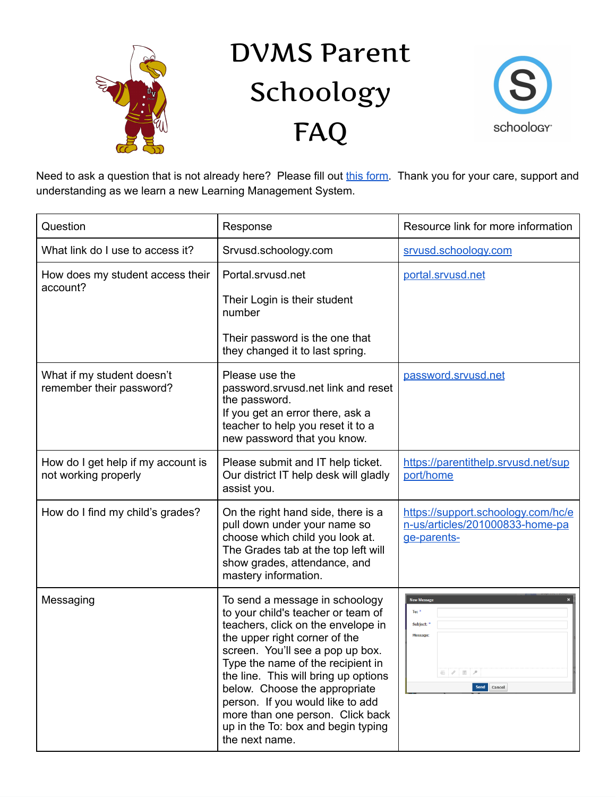

## DVMS Parent Schoology FAQ



Need to ask a question that is not already here? Please fill out this [form](https://docs.google.com/forms/d/e/1FAIpQLSdY0tcHStLqp7eFdALFkqHwCfZRMZP7WI5RFvJAuDeSW_NjUw/viewform). Thank you for your care, support and understanding as we learn a new Learning Management System.

| Question                                                   | Response                                                                                                                                                                                                                                                                                                                                                                                                                      | Resource link for more information                                                   |
|------------------------------------------------------------|-------------------------------------------------------------------------------------------------------------------------------------------------------------------------------------------------------------------------------------------------------------------------------------------------------------------------------------------------------------------------------------------------------------------------------|--------------------------------------------------------------------------------------|
| What link do I use to access it?                           | Srvusd.schoology.com                                                                                                                                                                                                                                                                                                                                                                                                          | srvusd.schoology.com                                                                 |
| How does my student access their<br>account?               | Portal.srvusd.net<br>Their Login is their student                                                                                                                                                                                                                                                                                                                                                                             | portal.srvusd.net                                                                    |
|                                                            | number                                                                                                                                                                                                                                                                                                                                                                                                                        |                                                                                      |
|                                                            | Their password is the one that<br>they changed it to last spring.                                                                                                                                                                                                                                                                                                                                                             |                                                                                      |
| What if my student doesn't<br>remember their password?     | Please use the<br>password.srvusd.net link and reset<br>the password.<br>If you get an error there, ask a<br>teacher to help you reset it to a<br>new password that you know.                                                                                                                                                                                                                                                 | password.srvusd.net                                                                  |
| How do I get help if my account is<br>not working properly | Please submit and IT help ticket.<br>Our district IT help desk will gladly<br>assist you.                                                                                                                                                                                                                                                                                                                                     | https://parentithelp.srvusd.net/sup<br>port/home                                     |
| How do I find my child's grades?                           | On the right hand side, there is a<br>pull down under your name so<br>choose which child you look at.<br>The Grades tab at the top left will<br>show grades, attendance, and<br>mastery information.                                                                                                                                                                                                                          | https://support.schoology.com/hc/e<br>n-us/articles/201000833-home-pa<br>ge-parents- |
| Messaging                                                  | To send a message in schoology<br>to your child's teacher or team of<br>teachers, click on the envelope in<br>the upper right corner of the<br>screen. You'll see a pop up box.<br>Type the name of the recipient in<br>the line. This will bring up options<br>below. Choose the appropriate<br>person. If you would like to add<br>more than one person. Click back<br>up in the To: box and begin typing<br>the next name. | <b>New Message</b><br>To: $^\bullet$<br>Subject: *<br>Message:<br>Send Cancel        |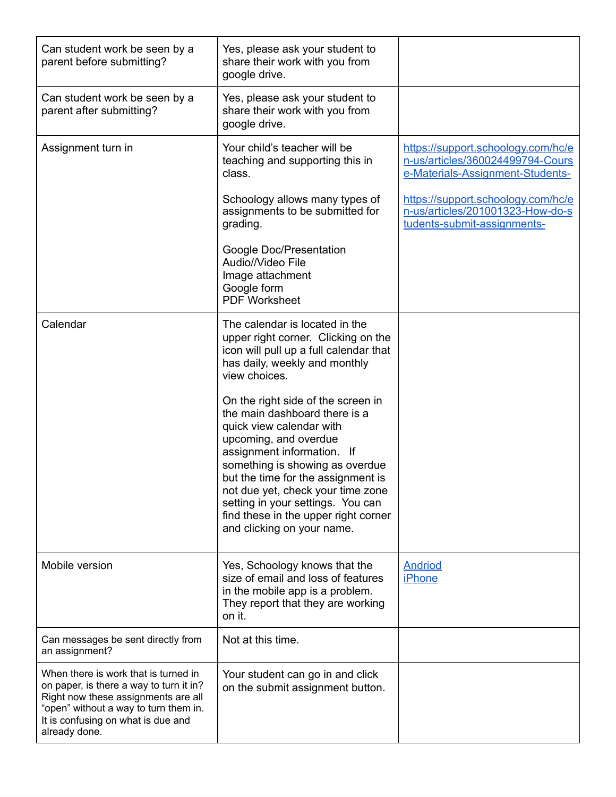| Can student work be seen by a<br>parent before submitting?                                                                                                                                                             | Yes, please ask your student to<br>share their work with you from<br>google drive.                                                                                                                                                                                                                                                                                              |                                                                                                            |
|------------------------------------------------------------------------------------------------------------------------------------------------------------------------------------------------------------------------|---------------------------------------------------------------------------------------------------------------------------------------------------------------------------------------------------------------------------------------------------------------------------------------------------------------------------------------------------------------------------------|------------------------------------------------------------------------------------------------------------|
| Can student work be seen by a<br>parent after submitting?                                                                                                                                                              | Yes, please ask your student to<br>share their work with you from<br>google drive.                                                                                                                                                                                                                                                                                              |                                                                                                            |
| Assignment turn in                                                                                                                                                                                                     | Your child's teacher will be<br>teaching and supporting this in<br>class.                                                                                                                                                                                                                                                                                                       | https://support.schoology.com/hc/e<br>n-us/articles/360024499794-Cours<br>e-Materials-Assignment-Students- |
|                                                                                                                                                                                                                        | Schoology allows many types of<br>assignments to be submitted for<br>grading.                                                                                                                                                                                                                                                                                                   | https://support.schoology.com/hc/e<br>n-us/articles/201001323-How-do-s<br>tudents-submit-assignments-      |
|                                                                                                                                                                                                                        | Google Doc/Presentation<br>Audio//Video File<br>Image attachment<br>Google form<br>PDF Worksheet                                                                                                                                                                                                                                                                                |                                                                                                            |
| Calendar                                                                                                                                                                                                               | The calendar is located in the<br>upper right corner. Clicking on the<br>icon will pull up a full calendar that<br>has daily, weekly and monthly<br>view choices.                                                                                                                                                                                                               |                                                                                                            |
|                                                                                                                                                                                                                        | On the right side of the screen in<br>the main dashboard there is a<br>quick view calendar with<br>upcoming, and overdue<br>assignment information. If<br>something is showing as overdue<br>but the time for the assignment is<br>not due yet, check your time zone<br>setting in your settings. You can<br>find these in the upper right corner<br>and clicking on your name. |                                                                                                            |
| Mobile version                                                                                                                                                                                                         | Yes, Schoology knows that the<br>size of email and loss of features<br>in the mobile app is a problem.<br>They report that they are working<br>on it.                                                                                                                                                                                                                           | <b>Andriod</b><br><b>iPhone</b>                                                                            |
| Can messages be sent directly from<br>an assignment?                                                                                                                                                                   | Not at this time.                                                                                                                                                                                                                                                                                                                                                               |                                                                                                            |
| When there is work that is turned in<br>on paper, is there a way to turn it in?<br>Right now these assignments are all<br>"open" without a way to turn them in.<br>It is confusing on what is due and<br>already done. | Your student can go in and click<br>on the submit assignment button.                                                                                                                                                                                                                                                                                                            |                                                                                                            |